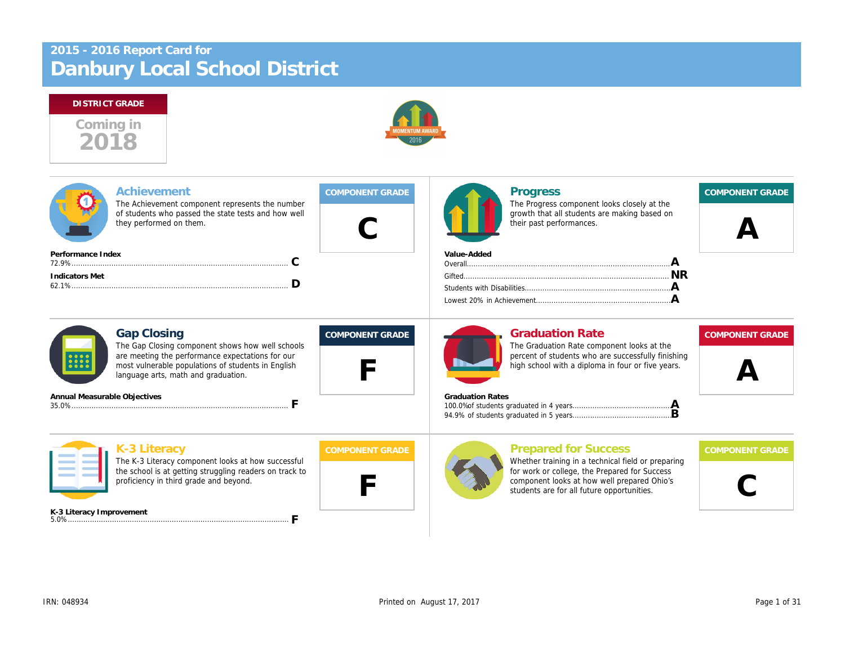# Danbury Local School District 2015 - 2016 Report Card for



| Achievement<br>The Achievement component represents the number<br>of students who passed the state tests and how well<br>they performed on them.                                                                        |                        | <b>Progress</b><br>The Progress component looks closely a<br>growth that all students are making base<br>their past performances.                                                                              |
|-------------------------------------------------------------------------------------------------------------------------------------------------------------------------------------------------------------------------|------------------------|----------------------------------------------------------------------------------------------------------------------------------------------------------------------------------------------------------------|
| Performance Index<br>C<br><b>Indicators Met</b><br>D                                                                                                                                                                    |                        | Value-Added                                                                                                                                                                                                    |
| <b>Gap Closing</b><br>The Gap Closing component shows how well schools<br>are meeting the performance expectations for our<br>most vulnerable populations of students in English<br>language arts, math and graduation. | <b>COMPONENT GRADE</b> | <b>Graduation Rate</b><br>The Graduation Rate component looks a<br>percent of students who are successfully<br>high school with a diploma in four or five<br><b>Graduation Rates</b>                           |
| Annual Measurable Objectives<br>F                                                                                                                                                                                       |                        |                                                                                                                                                                                                                |
| K-3 Literacy<br>The K-3 Literacy component looks at how successful<br>the school is at getting struggling readers on track to<br>proficiency in third grade and beyond.                                                 | <b>COMPONENT GRADE</b> | <b>Prepared for Success</b><br>Whether training in a technical field or p<br>for work or college, the Prepared for Sue<br>component looks at how well prepared (<br>students are for all future opportunities. |
| K-3 Literacy Improvement                                                                                                                                                                                                |                        |                                                                                                                                                                                                                |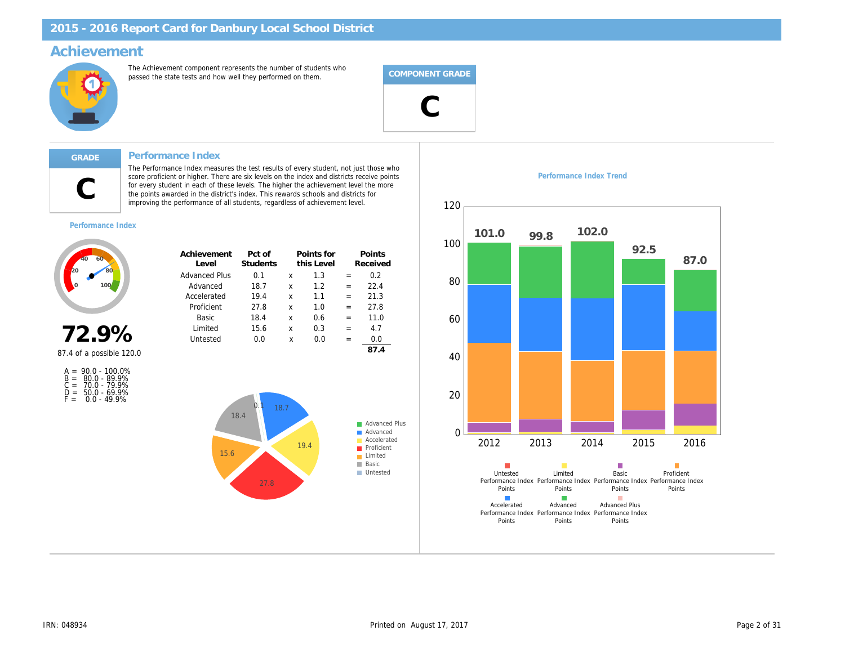### Achievement

The Achievement component represents the number of students who passed the state tests and how well they performed on them.



#### Performance Index

The Performance Index measures the test results of every student, not just those who score proficient or higher. There are six levels on the index and districts receive points for every student in each of these levels. The higher the achievement level the more the points awarded in the district's index. This rewards schools and districts for improving the performance of all students, regardless of achievement level.

Performance Index Trend



Performance Index

C

| noz<br>n |
|----------|
|----------|

87.4 of a possible 120.0

| $A =$ | $90.0 - 100.0\%$ |
|-------|------------------|
| $B =$ | 80.0 - 89.9%     |
| $C =$ | 70.0 - 79.9%     |
| D =   | $50.0 - 69.9%$   |
| F =   | $0.0 - 49.9%$    |

| Achievement<br>Level | Pct of<br>Students |   | Points for<br>this Level |     | Points<br>Received |  |
|----------------------|--------------------|---|--------------------------|-----|--------------------|--|
| <b>Advanced Plus</b> | 0.1                | x | 1.3                      | $=$ | 0.2                |  |
| Advanced             | 18.7               | x | 1.2                      | $=$ | 22.4               |  |
| Accelerated          | 19.4               | x | 1.1                      | $=$ | 21.3               |  |
| Proficient           | 27.8               | x | 1.0                      | $=$ | 27.8               |  |
| Basic                | 18.4               | x | 0.6                      | $=$ | 11.0               |  |
| Limited              | 15.6               | x | 0.3                      | $=$ | 4.7                |  |
| Untested             | 0.0                | x | 0.0                      | $=$ | 0.0                |  |
|                      |                    |   |                          |     |                    |  |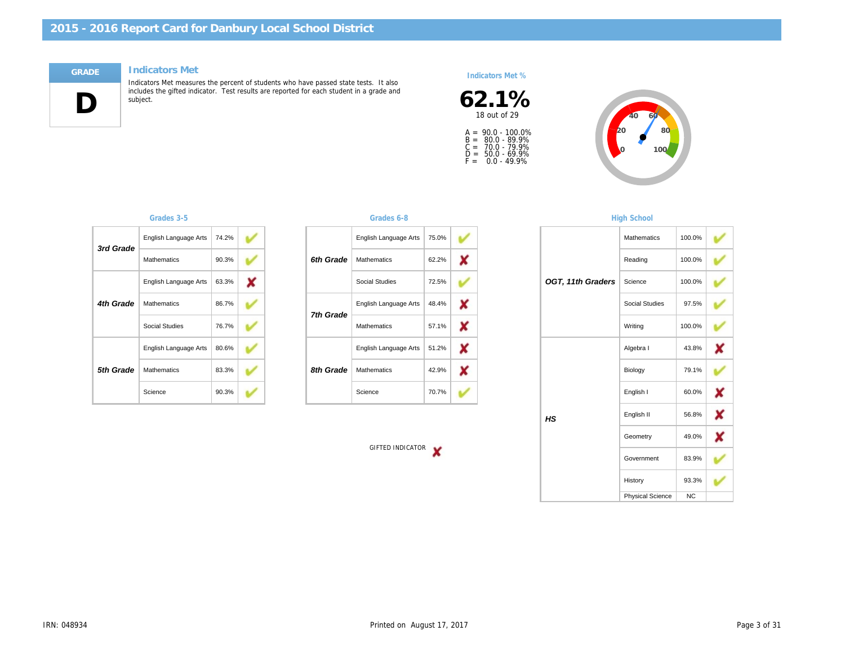#### Indicators Met



Indicators Met measures the percent of students who have passed state tests. It also includes the gifted indicator. Test results are reported for each student in a grade and subject.

#### Indicators Met %



A =<br>B =<br>C =<br>D =<br>F = 90.0 - 100.0% 80.0 - 89.9% 70.0 - 79.9% 50.0 - 69.9% 0.0 - 49.9%

| 3rd Grade | English Language Arts | 74.2% |  |
|-----------|-----------------------|-------|--|
|           | <b>Mathematics</b>    | 90.3% |  |
|           | English Language Arts | 63.3% |  |
| 4th Grade | <b>Mathematics</b>    | 86.7% |  |
|           | Social Studies        | 76.7% |  |
|           | English Language Arts | 80.6% |  |
| 5th Grade | <b>Mathematics</b>    | 83.3% |  |
|           | Science               | 90.3% |  |

#### Grades 3-5 Grades 6-8

|           | English Language Arts | 75.0% |
|-----------|-----------------------|-------|
| 6th Grade | <b>Mathematics</b>    | 62.2% |
|           | Social Studies        | 72.5% |
| 7th Grade | English Language Arts | 48.4% |
|           | <b>Mathematics</b>    | 57.1% |
|           | English Language Arts | 51.2% |
| 8th Grade | <b>Mathematics</b>    | 42.9% |
|           | Science               | 70.7% |

GIFTED INDICATOR

#### **High Schoo**

| Reading<br>OGT, 11th Graders<br>Science<br>Social Stu<br>Writing<br>Algebra I<br>Biology<br>English I<br>English II<br>HS<br>Geometry<br>Governme<br>History<br>Physical S | Mathemati |
|----------------------------------------------------------------------------------------------------------------------------------------------------------------------------|-----------|
|                                                                                                                                                                            |           |
|                                                                                                                                                                            |           |
|                                                                                                                                                                            |           |
|                                                                                                                                                                            |           |
|                                                                                                                                                                            |           |
|                                                                                                                                                                            |           |
|                                                                                                                                                                            |           |
|                                                                                                                                                                            |           |
|                                                                                                                                                                            |           |
|                                                                                                                                                                            |           |
|                                                                                                                                                                            |           |
|                                                                                                                                                                            |           |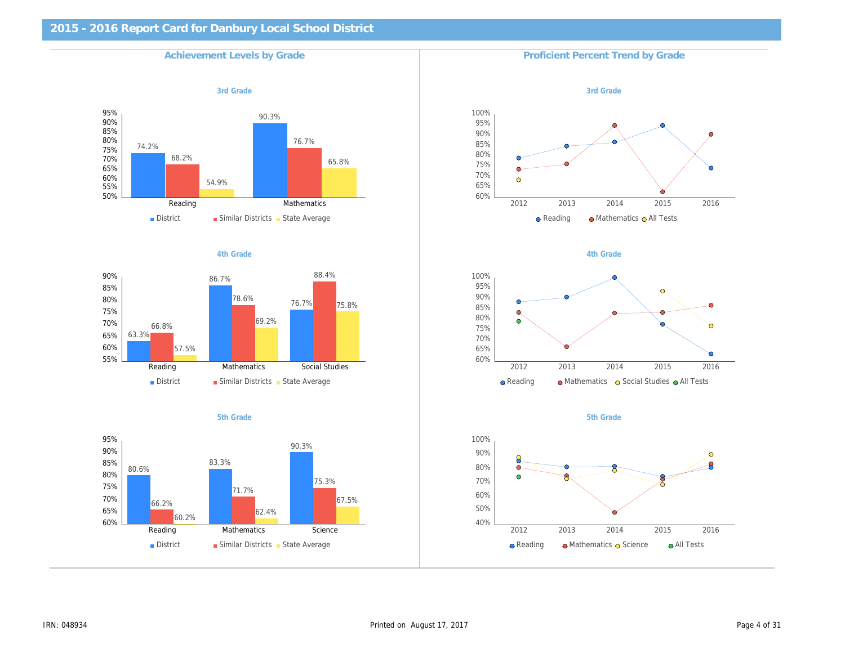# 2015 - 2016 Report Card for Danbury Local School District Achievement Levels by Grade Proficient Percent Trend by Grade 3rd Grade 3rd Grade 3rd Grade 3rd Grade 3rd Grade 3rd Grade 3rd Grade 3rd Grade 3rd Grade 3rd Grade 3rd Grade 4th Grade **4th Grade** 4th Grade 3th and the set of the set of the set of the set of the set of the set of the set of the set of the set of the set of the set of the set of the set of the set of the set of the set of the se 5th Grade 5th Grade 5th Grade 5th Grade 5th Grade 5th Grade 5th Grade 5th Grade 5th Grade 5th Grade 5th Grade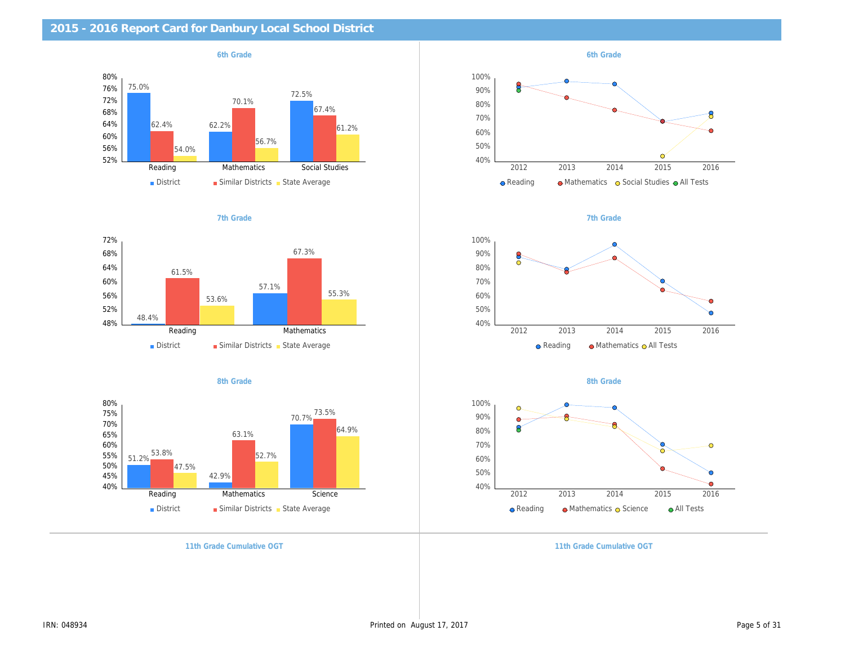| 2015 - 2016 Report Card for Danbury Local School District |                           |
|-----------------------------------------------------------|---------------------------|
| 6th Grade                                                 | 6th Grade                 |
|                                                           |                           |
|                                                           |                           |
|                                                           |                           |
|                                                           |                           |
|                                                           |                           |
|                                                           |                           |
| 7th Grade                                                 | 7th Grade                 |
|                                                           |                           |
|                                                           |                           |
|                                                           |                           |
|                                                           |                           |
|                                                           |                           |
|                                                           |                           |
| 8th Grade                                                 | 8th Grade                 |
|                                                           |                           |
|                                                           |                           |
|                                                           |                           |
|                                                           |                           |
|                                                           |                           |
|                                                           |                           |
| 11th Grade Cumulative OGT                                 | 11th Grade Cumulative OG1 |
|                                                           |                           |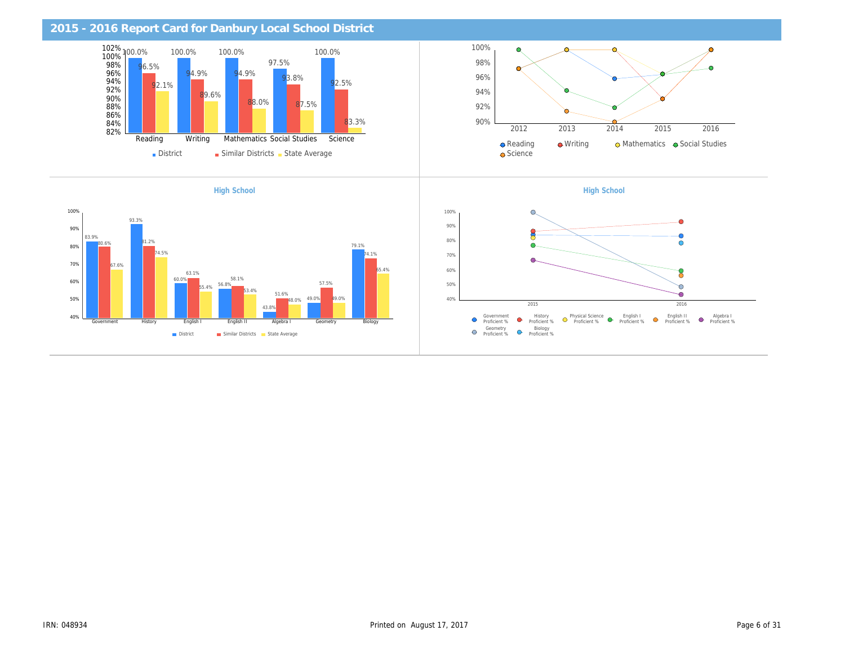| 2015 - 2016 Report Card for Danbury Local School District |                    |
|-----------------------------------------------------------|--------------------|
|                                                           |                    |
|                                                           |                    |
|                                                           |                    |
|                                                           |                    |
|                                                           |                    |
|                                                           |                    |
| <b>High School</b>                                        | <b>High School</b> |
|                                                           |                    |
|                                                           |                    |
|                                                           |                    |
|                                                           |                    |
|                                                           |                    |
|                                                           |                    |
|                                                           |                    |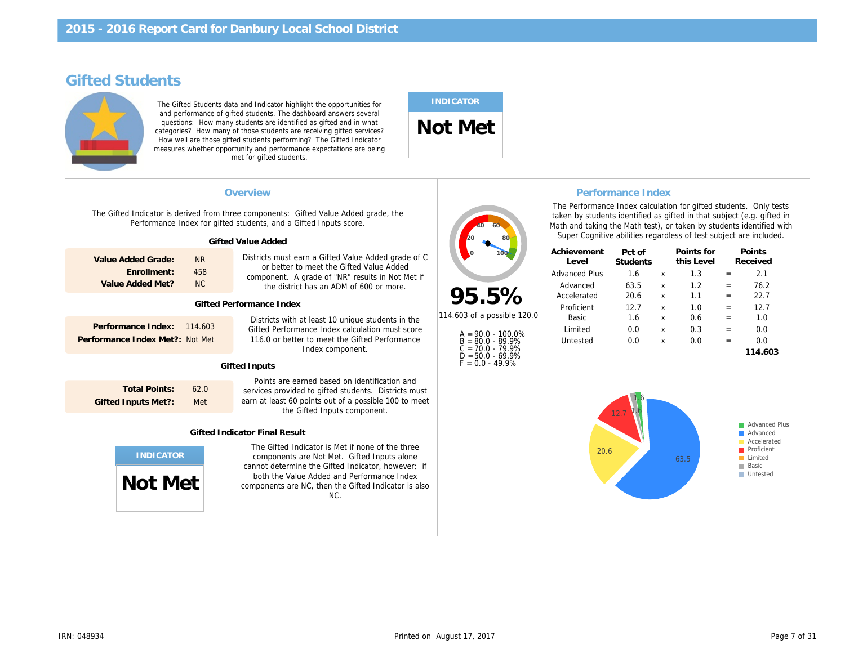## Gifted Students

The Gifted Students data and Indicator highlight the opportunities for and performance of gifted students. The dashboard answers several questions: How many students are identified as gifted and in what categories? How many of those students are receiving gifted services? How well are those gifted students performing? The Gifted Indicator measures whether opportunity and performance expectations are being met for gifted students.

## INDICATOR

Not Met

|                                                                                        | Overview<br>The Gifted Indicator is derived from three components: Gifted Value Added grade, the<br>Performance Index for gifted students, and a Gifted Inputs score.                                                                                              |                                                                                                                                            | The Performance Index cald<br>taken by students identified<br>Math and taking the Math tes<br>Super Cognitive abilities re | <b>Performance Inde</b>                                  |
|----------------------------------------------------------------------------------------|--------------------------------------------------------------------------------------------------------------------------------------------------------------------------------------------------------------------------------------------------------------------|--------------------------------------------------------------------------------------------------------------------------------------------|----------------------------------------------------------------------------------------------------------------------------|----------------------------------------------------------|
| Value Added Grade:<br><b>NR</b><br>Enrollment:<br>458<br><b>NC</b><br>Value Added Met? | <b>Gifted Value Added</b><br>Districts must earn a Gifted Value Added grade of C<br>or better to meet the Gifted Value Added<br>component. A grade of "NR" results in Not Met if<br>the district has an ADM of 600 or more.<br><b>Gifted Performance Index</b>     | 95.5%                                                                                                                                      | Achievement<br>Level<br><b>Advanced Plus</b><br>Advanced<br>Accelerated<br>Proficient                                      | Pct of<br><b>Students</b><br>1.6<br>63.5<br>20.6<br>12.7 |
| Performance Index:<br>114,603<br>Performance Index Met?:<br>Not Met                    | Districts with at least 10 unique students in the<br>Gifted Performance Index calculation must score<br>116.0 or better to meet the Gifted Performance<br>Index component.<br><b>Gifted Inputs</b>                                                                 | 114.603 of a possible 120.0<br>$A = 90.0 - 100.0\%$<br>$B = 80.0 - 89.9%$<br>$C = 70.0 - 79.9%$<br>$D = 50.0 - 69.9%$<br>$F = 0.0 - 49.9%$ | Basic<br>Limited<br>Untested                                                                                               | 1.6<br>0.0<br>0.0                                        |
| <b>Total Points:</b><br>62.0<br><b>Gifted Inputs Met?:</b><br>Met                      | Points are earned based on identification and<br>services provided to gifted students. Districts must<br>earn at least 60 points out of a possible 100 to meet<br>the Gifted Inputs component.<br><b>Gifted Indicator Final Result</b>                             |                                                                                                                                            |                                                                                                                            |                                                          |
| Not Met                                                                                | The Gifted Indicator is Met if none of the three<br>components are Not Met. Gifted Inputs alone<br>cannot determine the Gifted Indicator, however; if<br>both the Value Added and Performance Index<br>components are NC, then the Gifted Indicator is also<br>NC. |                                                                                                                                            |                                                                                                                            |                                                          |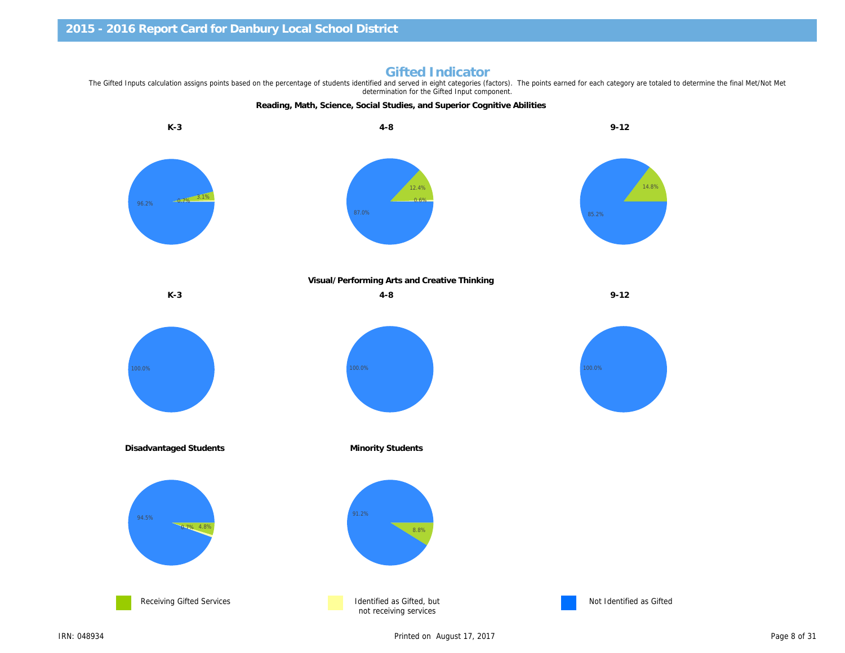Reading, Math, Science, Social Studies, and Superior Cognitive Abilities K-3 4-8 9-12

Gifted Indicator<br>The Gifted Inputs calculation assigns points based on the percentage of students identified and served in eight categories (factors). The points earned for each category are to determination for the Gifted Input component.

Visual/Performing Arts and Creative Thinking

K-3 9-12

Disadvantaged Students **Minority Students** Minority Students

Receiving Gifted Services **Intervention Control** Identified as Gifted, but not receiving services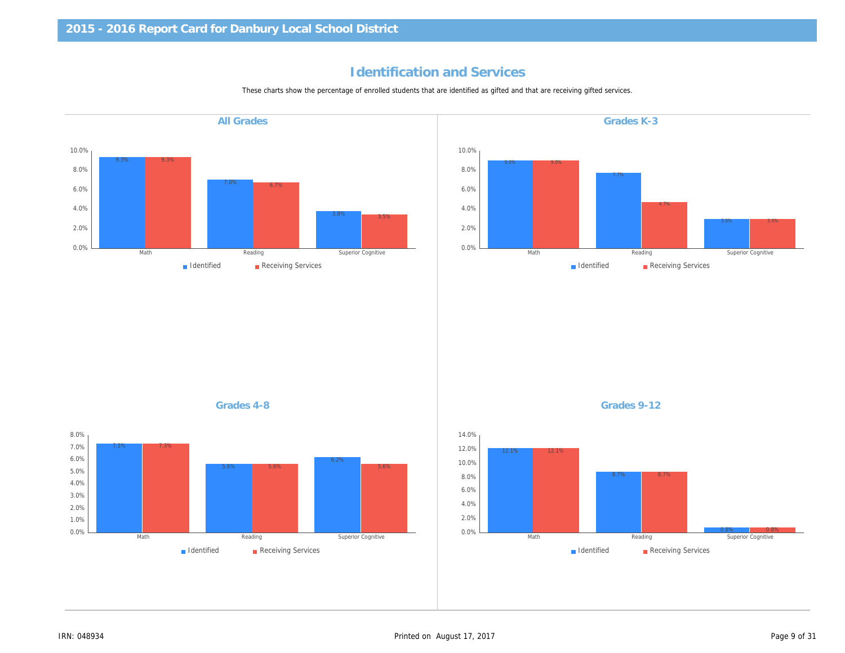## Identification and Services

These charts show the percentage of enrolled students that are identified as gifted and that are receiving gifted services.

Grades K-3 Grades 4-8 Grades 9-12 All Grades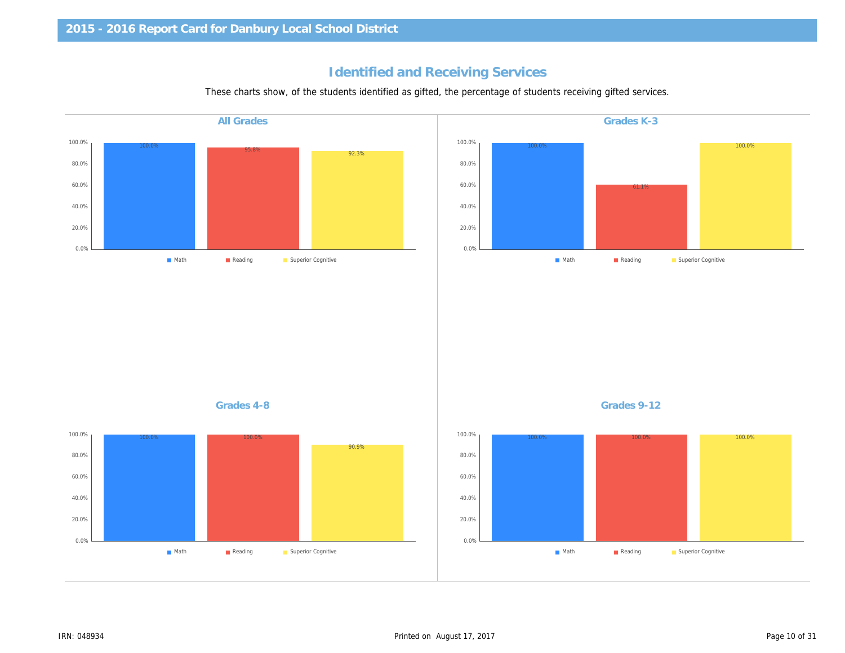## Identified and Receiving Services

These charts show, of the students identified as gifted, the percentage of students receiving gifted service

| <b>All Grades</b> | Grades K-3  |
|-------------------|-------------|
|                   |             |
|                   |             |
|                   |             |
|                   |             |
|                   |             |
|                   |             |
|                   |             |
|                   |             |
|                   |             |
|                   |             |
|                   |             |
|                   |             |
|                   |             |
|                   |             |
|                   |             |
|                   |             |
|                   |             |
|                   |             |
| Grades 4-8        | Grades 9-12 |
|                   |             |
|                   |             |
|                   |             |
|                   |             |
|                   |             |
|                   |             |
|                   |             |
|                   |             |
|                   |             |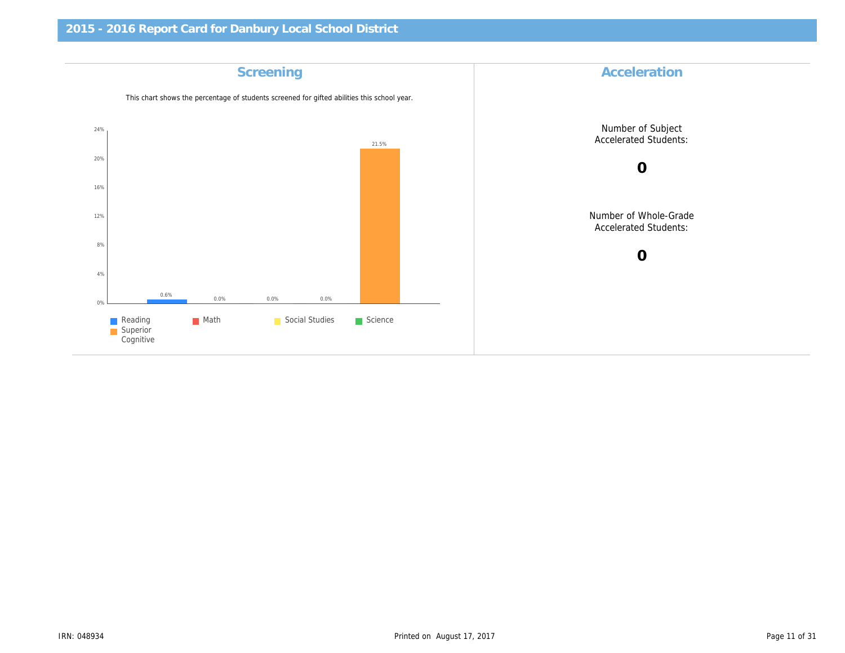| Accelerat                     | Screening                                                                                   |
|-------------------------------|---------------------------------------------------------------------------------------------|
|                               | This chart shows the percentage of students screened for gifted abilities this school year. |
| Number of S<br>Accelerated S  |                                                                                             |
| $\mathbf 0$                   |                                                                                             |
| Number of Wh<br>Accelerated S |                                                                                             |
| $\mathbf 0$                   |                                                                                             |
|                               |                                                                                             |
|                               |                                                                                             |
|                               |                                                                                             |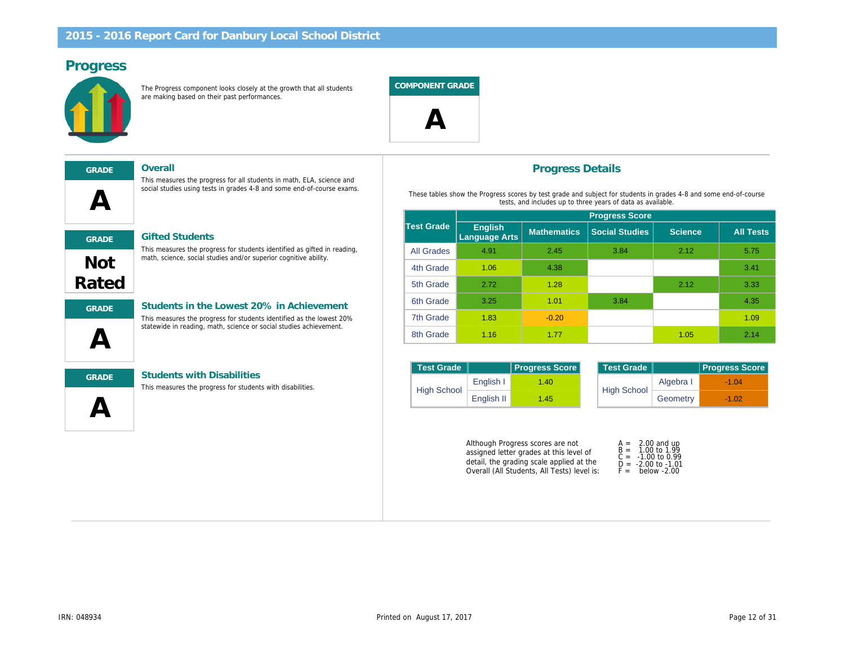## Progress

The Progress component looks closely at the growth that all students are making based on their past performances.

COMPONENT GRADE



| $\blacktriangle$ |  |
|------------------|--|
| <b>GRADE</b>     |  |
|                  |  |

#### GRADE Overall

This measures the progress for all students in math, ELA, science and social studies using tests in grades 4-8 and some end-of-course exams.



#### **Gifted Students**

This measures the progress for students identified as gifted in reading, math, science, social studies and/or superior cognitive ability.



#### GRADE Students in the Lowest 20% in Achievement This measures the progress for students identified as the lowest 20%

statewide in reading, math, science or social studies achievement.



#### GRADE Students with Disabilities

This measures the progress for students with disabilities.

#### Progress Details

These tables show the Progress scores by test grade and subject for students in tests, and includes up to three years of data as av

|                   |                                 | <b>Progress Score</b> |                       |  |  |
|-------------------|---------------------------------|-----------------------|-----------------------|--|--|
| <b>Test Grade</b> | <b>English</b><br>Language Arts | <b>Mathematics</b>    | <b>Social Studies</b> |  |  |
| <b>All Grades</b> | 4.91                            | 2.45                  | 3.84                  |  |  |
| 4th Grade         | 1.06                            | 4.38                  |                       |  |  |
| 5th Grade         | 2.72                            | 1.28                  |                       |  |  |
| 6th Grade         | 3.25                            | 1.01                  | 3.84                  |  |  |
| 7th Grade         | 1.83                            | $-0.20$               |                       |  |  |
| 8th Grade         | 1.16                            | 1.77                  |                       |  |  |

| <b>Test Grade</b>  |            | <b>Progress Score</b> |  | Test Grade         |
|--------------------|------------|-----------------------|--|--------------------|
| <b>High School</b> | English I  | 1.40                  |  | <b>High School</b> |
|                    | English II | 1.45                  |  |                    |

Although Progress scores are not assigned letter grades at this level of detail, the grading scale applied at the Overall (All Students, All Tests) level is:

| A = | 2.00    |  |
|-----|---------|--|
| B = | 1.00    |  |
| C = | $-1.00$ |  |
| D = | $-2.00$ |  |
| F = | bela    |  |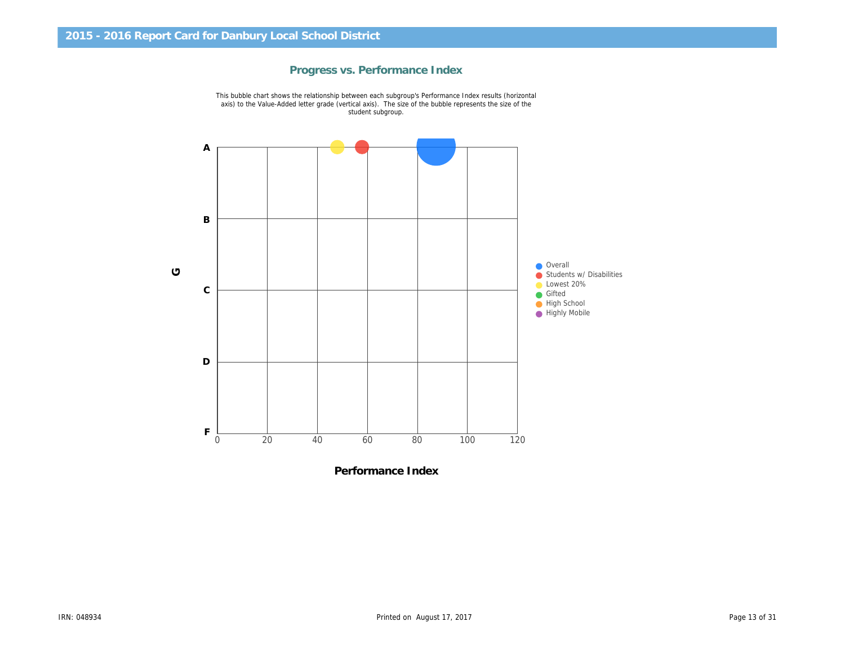

Progress vs. Performance Index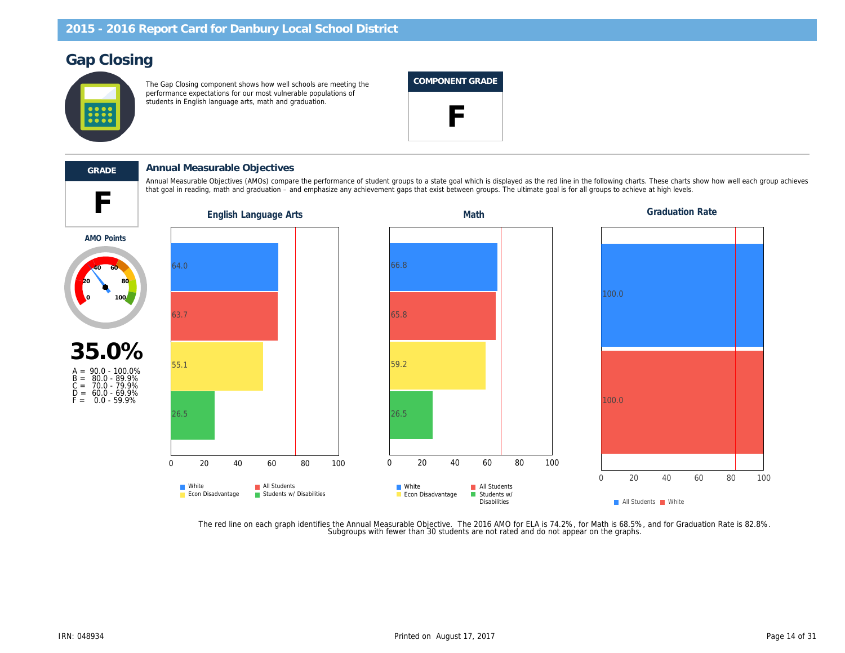## Gap Closing

The Gap Closing component shows how well schools are meeting the performance expectations for our most vulnerable populations of students in English language arts, math and graduation.

#### COMPONENT GRADE





#### GRADE Annual Measurable Objectives

that goal in reading, math and graduation – and emphasize any achievement gaps that exist between groups. The ultimate goal is for all groups to achieve at high levels at high levels. The ultimate goal is for all groups t Annual Measurable Objectives (AMOs) compare the performance of student groups to a state goal which is displayed as the red line in the following charts. These charts of the following charts of the red each group achieves

AMO Points



The red line on each graph identifies the Annual Measurable Objective. The 2016 AMO for ELA is 74.2%, for Math is 68.5%, a<br>Subgroups with fewer than 30 students are not rated and do not appear on the graphs.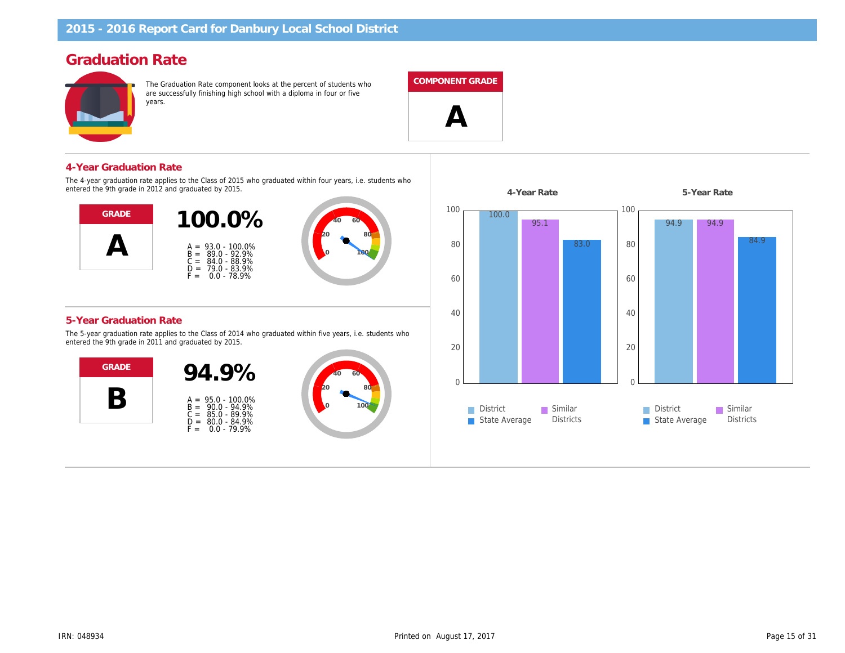## Graduation Rate

The Graduation Rate component looks at the percent of students who are successfully finishing high school with a diploma in four or five years.

#### COMPONENT GRADE

 $\boldsymbol{\mathsf{\Delta}}$ 

4-Year Graduation Rate

The 4-year graduation rate applies to the Class of 2015 who graduated within four years, i.e. students who entered the 9th grade in 2012 and graduated by 2015.



#### 5-Year Graduation Rate

The 5-year graduation rate applies to the Class of 2014 who graduated within five years, i.e. students who entered the 9th grade in 2011 and graduated by 2015.



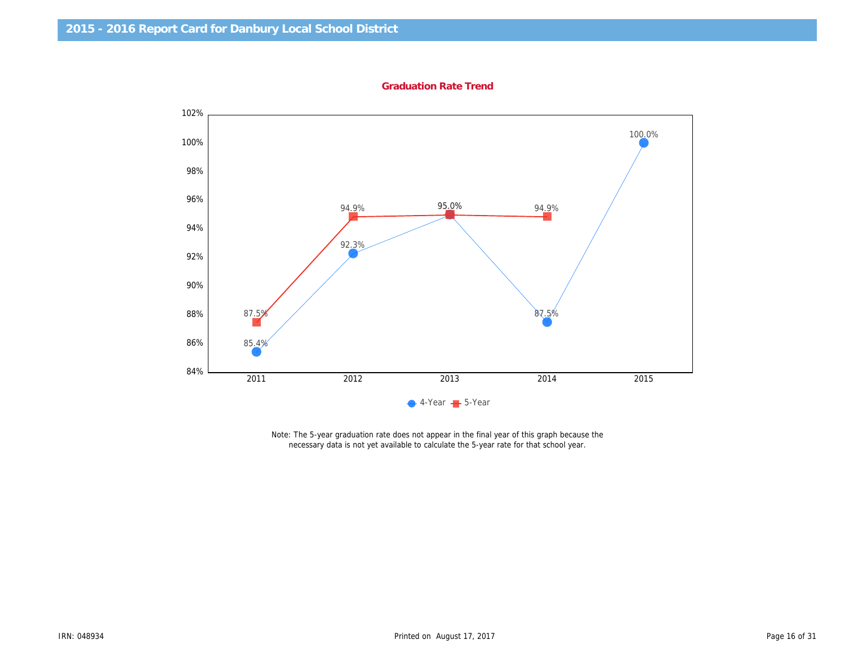Graduation Rate Trend

Note: The 5-year graduation rate does not appear in the final year of this graph because the necessary data is not yet available to calculate the 5-year rate for that school year.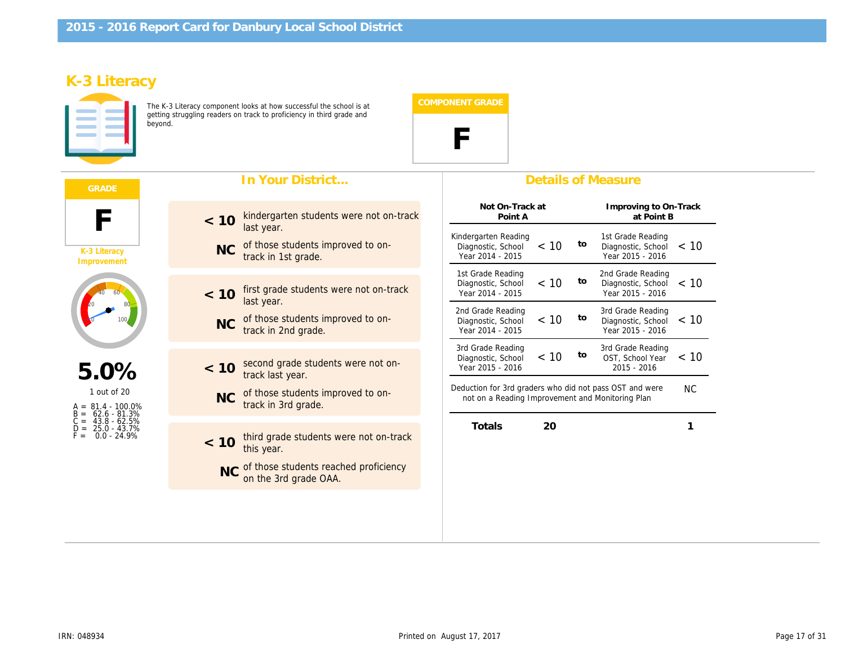## K-3 Literacy

The K-3 Literacy component looks at how successful the school is at getting struggling readers on track to proficiency in third grade and beyond.



|                                                                                                                                 | In Your District                                                      | <b>Details of Measure</b>                                                                                                        |
|---------------------------------------------------------------------------------------------------------------------------------|-----------------------------------------------------------------------|----------------------------------------------------------------------------------------------------------------------------------|
|                                                                                                                                 | kindergarten students were not on-track<br>< 10<br>last year.         | Not On-Track at<br>Improving to<br>Point A<br>at Poi                                                                             |
| K-3 Literacy<br>Improvement                                                                                                     | of those students improved to on-<br><b>NC</b><br>track in 1st grade. | Kindergarten Reading<br>1st Grade Rea<br>to<br>< 10<br>Diagnostic, School<br>Diagnostic, So<br>Year 2014 - 2015<br>Year 2015 - 2 |
|                                                                                                                                 | first grade students were not on-track<br>< 10<br>last year.          | 2nd Grade Rea<br>1st Grade Reading<br>to<br>< 10<br>Diagnostic, School<br>Diagnostic, So<br>Year 2014 - 2015<br>Year 2015 - 2    |
|                                                                                                                                 | of those students improved to on-<br><b>NC</b><br>track in 2nd grade. | 2nd Grade Reading<br>3rd Grade Rea<br>to<br>< 10<br>Diagnostic, School<br>Diagnostic, So<br>Year 2014 - 2015<br>Year 2015 - 2    |
| 5.0%<br>1 out of 20<br>$A = 81.4 - 100.0\%$<br>62.6 - 81.3%<br>$43.8 - 62.5%$<br>$C =$<br>25.0 - 43.7%<br>F =<br>$0.0 - 24.9\%$ | second grade students were not on-<br>< 10<br>track last year.        | 3rd Grade Rea<br>3rd Grade Reading<br>to<br>< 10<br>OST, School<br>Diagnostic, School<br>Year 2015 - 2016<br>$2015 - 2010$       |
|                                                                                                                                 | of those students improved to on-<br><b>NC</b><br>track in 3rd grade. | Deduction for 3rd graders who did not pass OST and we<br>not on a Reading Improvement and Monitoring Plan                        |
|                                                                                                                                 | third grade students were not on-track<br>< 10<br>this year.          | <b>Totals</b><br>20                                                                                                              |
|                                                                                                                                 | NC of those students reached proficiency<br>on the 3rd grade OAA.     |                                                                                                                                  |
|                                                                                                                                 |                                                                       |                                                                                                                                  |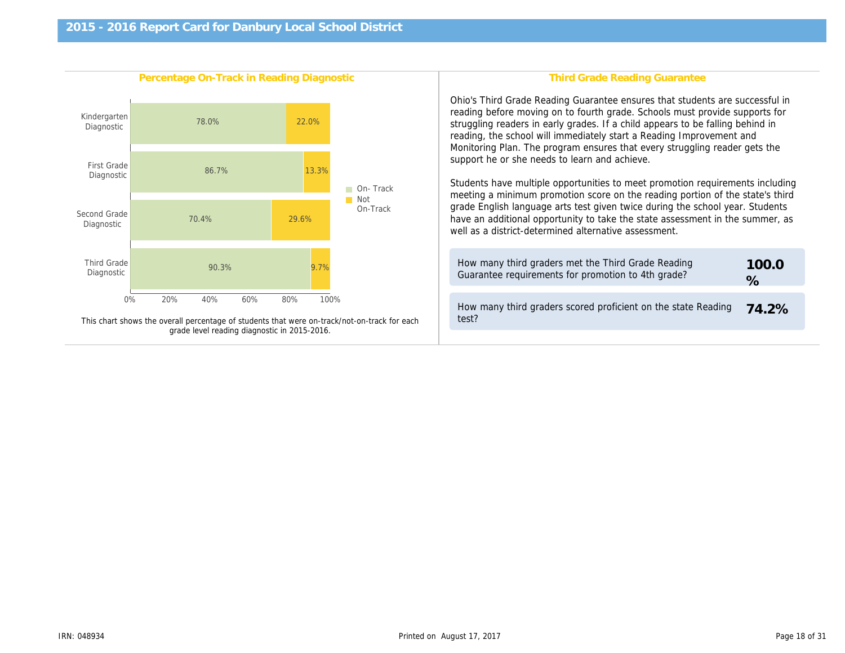| Percentage On-Track in Reading Diagnostic                                                    | <b>Third Grade Reading Gr</b>                                                                                                                                                                                                                                                                                                                                                                                                                                                                                                                                         |
|----------------------------------------------------------------------------------------------|-----------------------------------------------------------------------------------------------------------------------------------------------------------------------------------------------------------------------------------------------------------------------------------------------------------------------------------------------------------------------------------------------------------------------------------------------------------------------------------------------------------------------------------------------------------------------|
|                                                                                              | Ohio's Third Grade Reading Guarantee ensure<br>reading before moving on to fourth grade. Scho<br>struggling readers in early grades. If a child ap<br>reading, the school will immediately start a Rea<br>Monitoring Plan. The program ensures that eve<br>support he or she needs to learn and achieve.<br>Students have multiple opportunities to meet p<br>meeting a minimum promotion score on the rea<br>grade English language arts test given twice di<br>have an additional opportunity to take the state<br>well as a district-determined alternative assess |
|                                                                                              | How many third graders met the Third Grade<br>Guarantee requirements for promotion to 4th                                                                                                                                                                                                                                                                                                                                                                                                                                                                             |
| This chart shows the overall percentage of students that were on-track/not-on-track for each | How many third graders scored proficient on<br>test?                                                                                                                                                                                                                                                                                                                                                                                                                                                                                                                  |
| grade level reading diagnostic in 2015-2016.                                                 |                                                                                                                                                                                                                                                                                                                                                                                                                                                                                                                                                                       |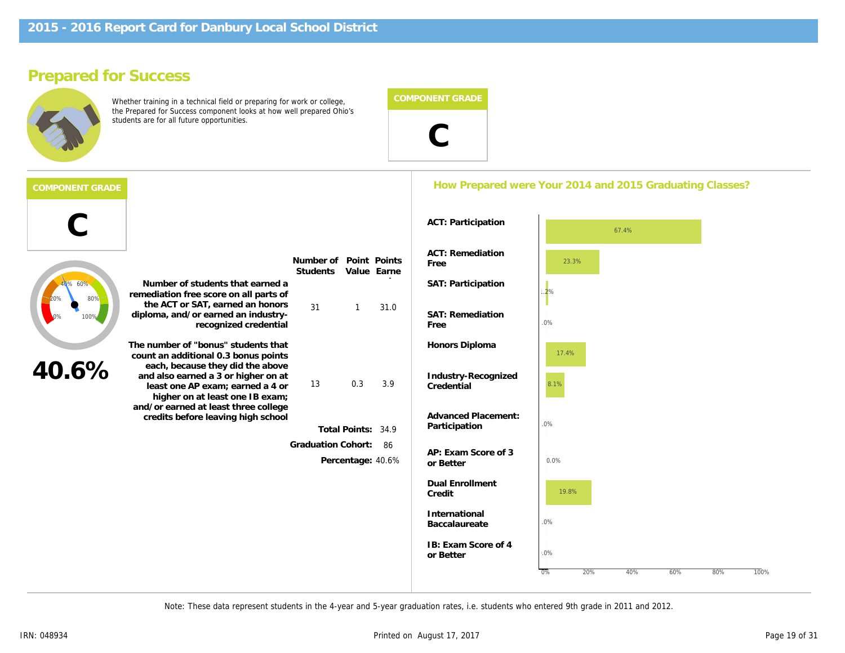## Prepared for Success

Whether training in a technical field or preparing for work or college, the Prepared for Success component looks at how well prepared Ohio's students are for all future opportunities.



#### How Prepared were Your 2014 and 2015 Graduation

| <b>ACT: Participation</b> |  |
|---------------------------|--|
|---------------------------|--|

|       |                                                                                                                                                                                                                              |                              |                      |                       | <b>ACT: Participation</b>         |
|-------|------------------------------------------------------------------------------------------------------------------------------------------------------------------------------------------------------------------------------|------------------------------|----------------------|-----------------------|-----------------------------------|
|       |                                                                                                                                                                                                                              | Number of<br><b>Students</b> | Value                | Point Points<br>Earne | ACT: Remediation<br>Free          |
|       | Number of students that earned a<br>remediation free score on all parts of                                                                                                                                                   |                              |                      |                       | SAT: Participation                |
|       | the ACT or SAT, earned an honors<br>diploma, and/or earned an industry-<br>recognized credential                                                                                                                             | 31                           | 1                    | 31.0                  | <b>SAT: Remediation</b><br>Free   |
|       | The number of "bonus" students that<br>count an additional 0.3 bonus points                                                                                                                                                  |                              |                      |                       | Honors Diploma                    |
| 40.6% | each, because they did the above<br>and also earned a 3 or higher on at<br>least one AP exam; earned a 4 or<br>higher on at least one IB exam;<br>and/or earned at least three college<br>credits before leaving high school | 13                           | 0.3                  | 3.9                   | Industry-Recognized<br>Credential |
|       |                                                                                                                                                                                                                              |                              |                      |                       | <b>Advanced Placement:</b>        |
|       |                                                                                                                                                                                                                              |                              | <b>Total Points:</b> | 34.9                  | Participation                     |
|       |                                                                                                                                                                                                                              | <b>Graduation Cohort:</b>    |                      | 86                    | AP: Exam Score of 3               |
|       |                                                                                                                                                                                                                              |                              | Percentage:          | 40.6%                 | or Better                         |
|       |                                                                                                                                                                                                                              |                              |                      |                       | <b>Dual Enrollment</b><br>Credit  |
|       |                                                                                                                                                                                                                              |                              |                      |                       | International<br>Baccalaureate    |
|       |                                                                                                                                                                                                                              |                              |                      |                       | IB: Exam Score of 4<br>or Better  |
|       |                                                                                                                                                                                                                              |                              |                      |                       |                                   |

Note: These data represent students in the 4-year and 5-year graduation rates, i.e. students who entered 9th grade in 2011 and 2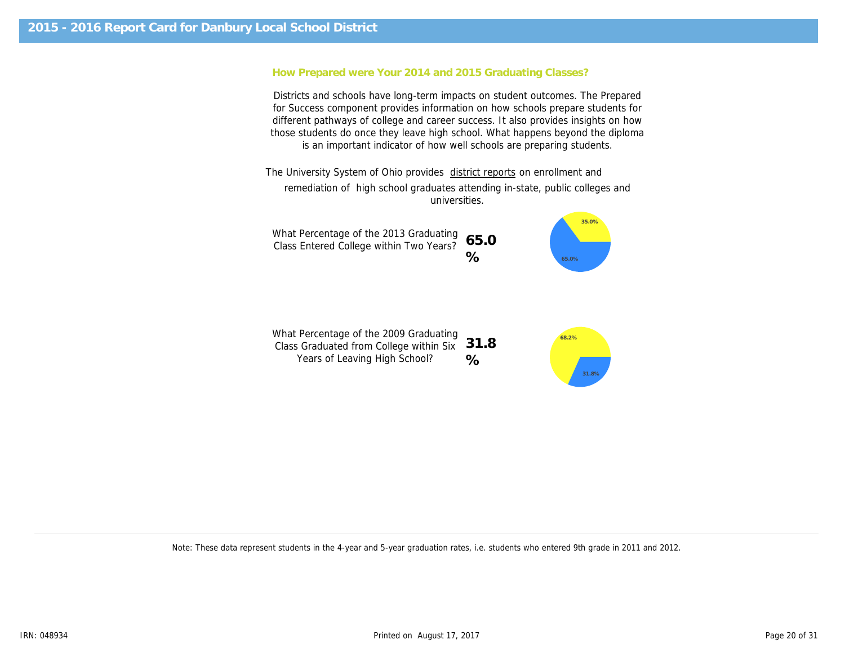#### How Prepared were Your 2014 and 2015 Graduating Classes?

Districts and schools have long-term impacts on student outcomes. The Prepared for Success component provides information on how schools prepare students for different pathways of college and career success. It also provides insights on how those students do once they leave high school. What happens beyond the diploma is an important indicator of how well schools are preparing students.

The University System of Ohio provides district reports on enrollment and remediation of high school graduates attending in-state, public colleges and universities.

What Percentage of the 2013 Graduating Class Entered College within Two Years? 65.0 %

What Percentage of the 2009 Graduating Class Graduated from College within Six 31.8 Years of Leaving High School? %

Note: These data represent students in the 4-year and 5-year graduation rates, i.e. students who entered 9th grade in 2011 and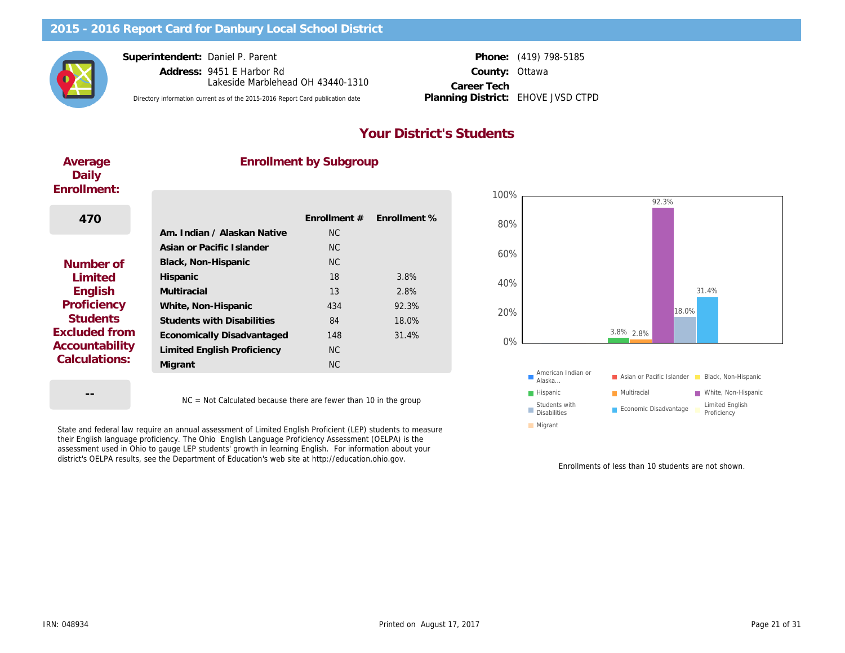Superintendent: Daniel P. Parent

Address: 9451 E Harbor Rd County: Lakeside Marblehead OH 43440-1310

Directory information current as of the 2015-2016 Report Card publication date Planning District: EHOVE JVSD CTPD

Career Tech Planning District:

Phone: (419) 798-5185 **Ottawa** 

## Your District's Students

| Average     |
|-------------|
| Daily       |
| Enrollment: |

#### Enrollment by Subgroup

| 470                                    |                                   | <b>Enrollment #</b> | <b>Enrollment %</b> |
|----------------------------------------|-----------------------------------|---------------------|---------------------|
|                                        | Am. Indian / Alaskan Native       | NC.                 |                     |
|                                        | Asian or Pacific Islander         | <b>NC</b>           |                     |
| Number of                              | Black, Non-Hispanic               | <b>NC</b>           |                     |
| Limited                                | Hispanic                          | 18                  | 3.8%                |
| English                                | Multiracial                       | 13                  | 2.8%                |
| Proficiency                            | White, Non-Hispanic               | 434                 | 92.3%               |
| <b>Students</b>                        | <b>Students with Disabilities</b> | 84                  | 18.0%               |
| <b>Excluded from</b>                   | Economically Disadvantaged        | 148                 | 31.4%               |
| <b>Accountability</b><br>Calculations: | Limited English Proficiency       | N <sub>C</sub>      |                     |
|                                        | Migrant                           | N <sub>C</sub>      |                     |
|                                        |                                   |                     |                     |

--

NC = Not Calculated because there are fewer than 10 in the group

State and federal law require an annual assessment of Limited English Proficient (LEP) students to measure their English language proficiency. The Ohio English Language Proficiency Assessment (OELPA) is the assessment used in Ohio to gauge LEP students' growth in learning English. For information about your district's OELPA results, see the Department of Education's web site at http://education.ohio.gov.

Enrollments of less than 1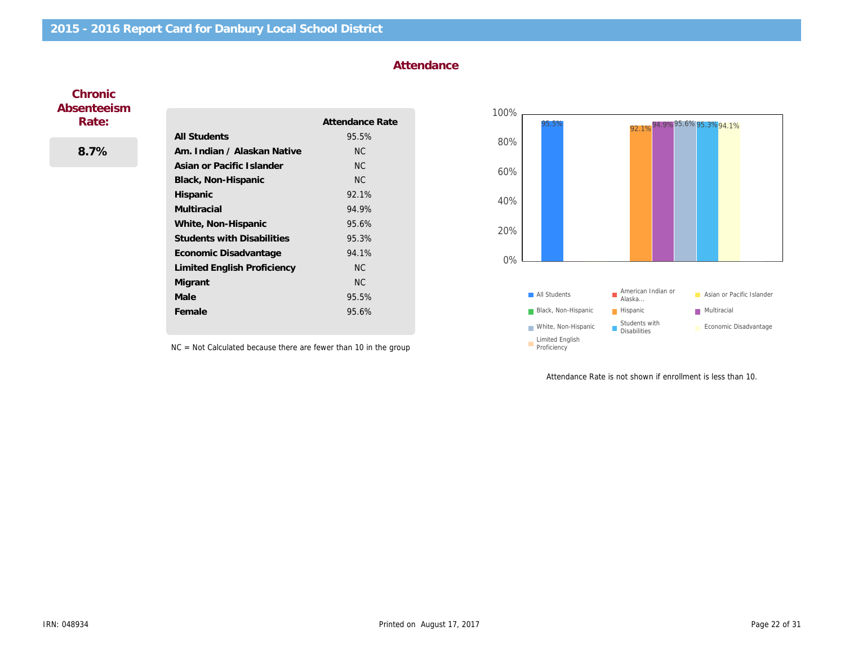#### Attendance

#### **Chronic** Absenteeism Rate:

8.7%

|                                   | Attendance Rate |
|-----------------------------------|-----------------|
| All Students                      | 95.5%           |
| Am. Indian / Alaskan Native       | <b>NC</b>       |
| Asian or Pacific Islander         | <b>NC</b>       |
| Black, Non-Hispanic               | <b>NC</b>       |
| <b>Hispanic</b>                   | 92.1%           |
| Multiracial                       | 94.9%           |
| White, Non-Hispanic               | 95.6%           |
| <b>Students with Disabilities</b> | 95.3%           |
| Economic Disadvantage             | 94.1%           |
| Limited English Proficiency       | NC.             |
| Migrant                           | NC.             |
| Male                              | 95.5%           |
| Female                            | 95.6%           |

NC = Not Calculated because there are fewer than 10 in the group

Attendance Rate is not shown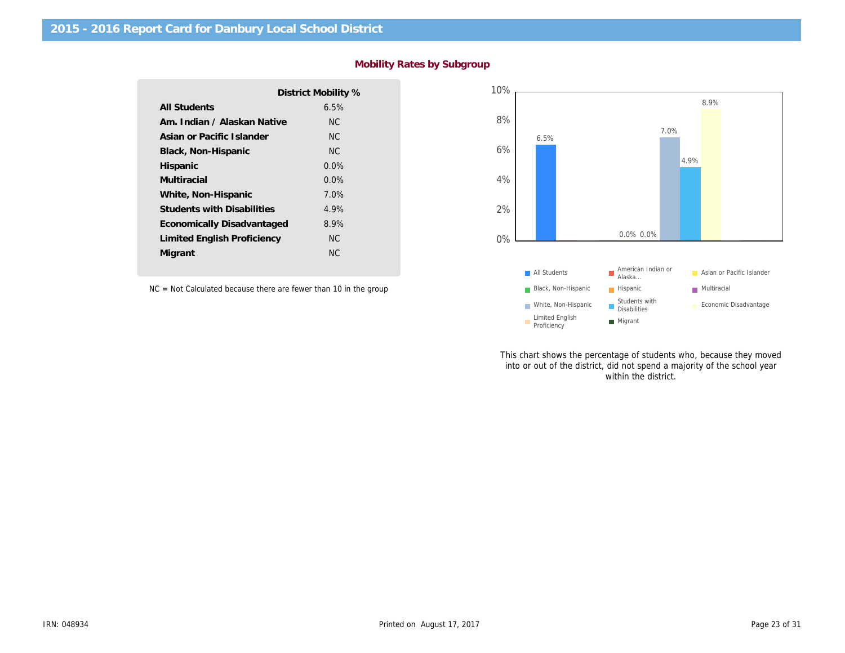|                                   | District Mobility % |
|-----------------------------------|---------------------|
| <b>All Students</b>               | 6.5%                |
| Am. Indian / Alaskan Native       | ΝC                  |
| Asian or Pacific Islander         | NC.                 |
| Black, Non-Hispanic               | NC.                 |
| Hispanic                          | $0.0\%$             |
| Multiracial                       | $0.0\%$             |
| White, Non-Hispanic               | 7.0%                |
| <b>Students with Disabilities</b> | 4.9%                |
| Economically Disadvantaged        | 8.9%                |
| Limited English Proficiency       | NC.                 |
| Migrant                           | ΝC                  |

### Mobility Rates by Subgroup

NC = Not Calculated because there are fewer than 10 in the group

This chart shows the percentage of stu into or out of the district, did not spend within the di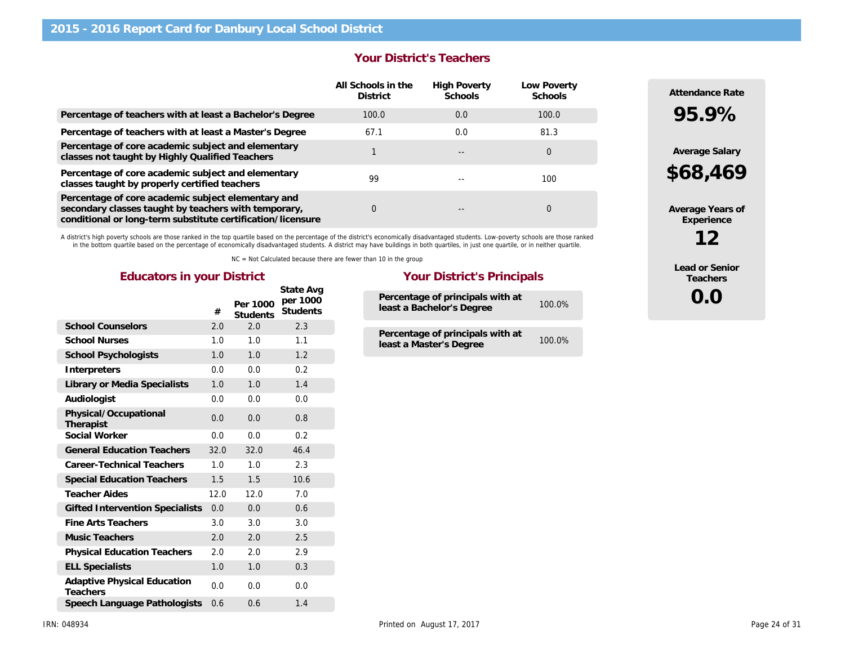|                                                                                                                                                                           | <b>Your District's Teachers</b>       |                                |                                                          |  |
|---------------------------------------------------------------------------------------------------------------------------------------------------------------------------|---------------------------------------|--------------------------------|----------------------------------------------------------|--|
|                                                                                                                                                                           | All Schools in the<br><b>District</b> | <b>High Poverty</b><br>Schools | Low Poverty<br>Schools<br>100.0<br>81.3<br>0<br>100<br>0 |  |
| Percentage of teachers with at least a Bachelor's Degree                                                                                                                  | 100.0                                 | 0.0                            |                                                          |  |
| Percentage of teachers with at least a Master's Degree                                                                                                                    | 67.1                                  | 0.0                            |                                                          |  |
| Percentage of core academic subject and elementary<br>classes not taught by Highly Qualified Teachers                                                                     |                                       |                                |                                                          |  |
| Percentage of core academic subject and elementary<br>classes taught by properly certified teachers                                                                       | 99                                    |                                |                                                          |  |
| Percentage of core academic subject elementary and<br>secondary classes taught by teachers with temporary,<br>conditional or long-term substitute certification/licensure | $\Omega$                              |                                |                                                          |  |

A district's high poverty schools are those ranked in the top quartile based on the percentage of the district's economically disadvantaged students. Low-poverty schools are those ranked<br>in the bottom quartile based on the

NC = Not Calculated because there are fewer than 10 in the group

|                                                | #    | Per 1000<br><b>Students</b> | State Avg<br>per 1000<br><b>Students</b> |  |
|------------------------------------------------|------|-----------------------------|------------------------------------------|--|
| <b>School Counselors</b>                       | 2.0  | 2.0                         | 2.3                                      |  |
| <b>School Nurses</b>                           | 1.0  | 1.0                         | 1.1                                      |  |
| School Psychologists                           | 1.0  | 1.0                         | 1.2                                      |  |
| Interpreters                                   | 0.0  | 0.0                         | 0.2                                      |  |
| Library or Media Specialists                   | 1.0  | 1.0                         | 1.4                                      |  |
| Audiologist                                    | 0.0  | 0.0                         | 0.0                                      |  |
| Physical/Occupational<br>Therapist             | 0.0  | 0.0                         | 0.8                                      |  |
| Social Worker                                  | 0.0  | 0.0                         | 0.2                                      |  |
| <b>General Education Teachers</b>              | 32.0 | 32.0                        | 46.4                                     |  |
| Career-Technical Teachers                      | 1.0  | 1.0                         | 2.3                                      |  |
| <b>Special Education Teachers</b>              | 1.5  | 1.5                         | 10.6                                     |  |
| <b>Teacher Aides</b>                           | 12.0 | 12.0                        | 7.0                                      |  |
| <b>Gifted Intervention Specialists</b>         | 0.0  | 0.0                         | 0.6                                      |  |
| Fine Arts Teachers                             | 3.0  | 3.0                         | 3.0                                      |  |
| <b>Music Teachers</b>                          | 2.0  | 2.0                         | 2.5                                      |  |
| <b>Physical Education Teachers</b>             | 2.0  | 2.0                         | 2.9                                      |  |
| <b>ELL Specialists</b>                         | 1.0  | 1.0                         | 0.3                                      |  |
| <b>Adaptive Physical Education</b><br>Teachers | 0.0  | 0.0                         | 0.0                                      |  |
| Speech Language Pathologists                   | 0.6  | 0.6                         | 1.4                                      |  |

#### Educators in your District **Your District's Principals**

| Percentage of principals with at<br>least a Bachelor's Degree | 100.0%    |
|---------------------------------------------------------------|-----------|
| Percentage of principals with at<br>least a Master's Degree   | $100.0\%$ |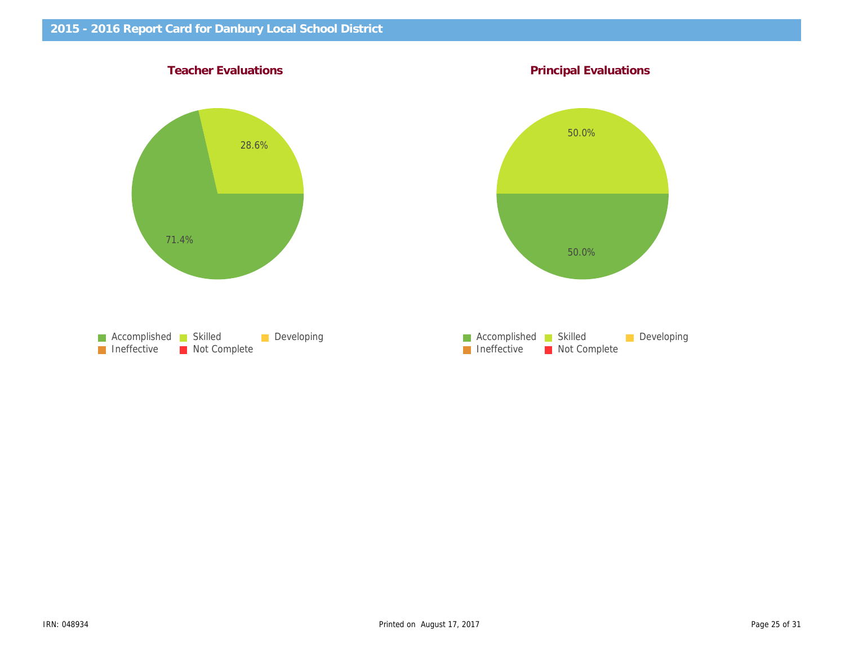Teacher Evaluations **Principal Evaluations** Principal Evaluations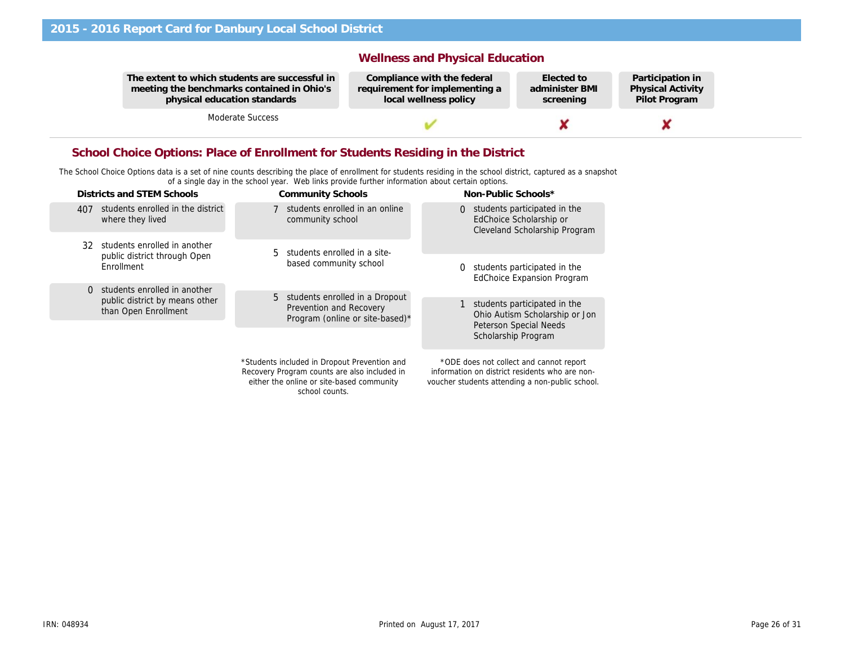The extent to which students are successful in meeting the benchmarks contained in Ohio's physical education standards

Moderate Success

#### Wellness and Physical Education

Compliance with the federal requirement for implementing a local wellness policy

Elected to administer BMI screening

Partio Physi Pilot

#### School Choice Options: Place of Enrollment for Students Residing in the District

The School Choice Options data is a set of nine counts describing the place of enrollment for students residing in the school district, captured as a snapshot of a single day in the school year. Web links provide further information about certain options.

|     | Districts and STEM Schools                             |             | <b>Community Schools</b>                                                                                                                  |          | Non-Public Schools*                                                                                                                          |
|-----|--------------------------------------------------------|-------------|-------------------------------------------------------------------------------------------------------------------------------------------|----------|----------------------------------------------------------------------------------------------------------------------------------------------|
| 407 | students enrolled in the district<br>where they lived  |             | students enrolled in an online<br>community school                                                                                        | $\Omega$ | students participated in the<br>EdChoice Scholarship or<br>Cleveland Scholarship Program                                                     |
| 32  | students enrolled in another                           | 5.          | students enrolled in a site-                                                                                                              |          |                                                                                                                                              |
|     | public district through Open<br>Enrollment             |             | based community school                                                                                                                    | 0        | students participated in the<br><b>EdChoice Expansion Program</b>                                                                            |
| 0   | students enrolled in another                           | $5^{\circ}$ | students enrolled in a Dropout                                                                                                            |          |                                                                                                                                              |
|     | public district by means other<br>than Open Enrollment |             | <b>Prevention and Recovery</b><br>Program (online or site-based)*                                                                         |          | students participated in the<br>Ohio Autism Scholarship or Jon<br><b>Peterson Special Needs</b>                                              |
|     |                                                        |             |                                                                                                                                           |          | Scholarship Program                                                                                                                          |
|     |                                                        |             | *Students included in Dropout Prevention and<br>Recovery Program counts are also included in<br>either the online or site-based community |          | *ODE does not collect and cannot report<br>information on district residents who are non-<br>voucher students attending a non-public school. |

school counts.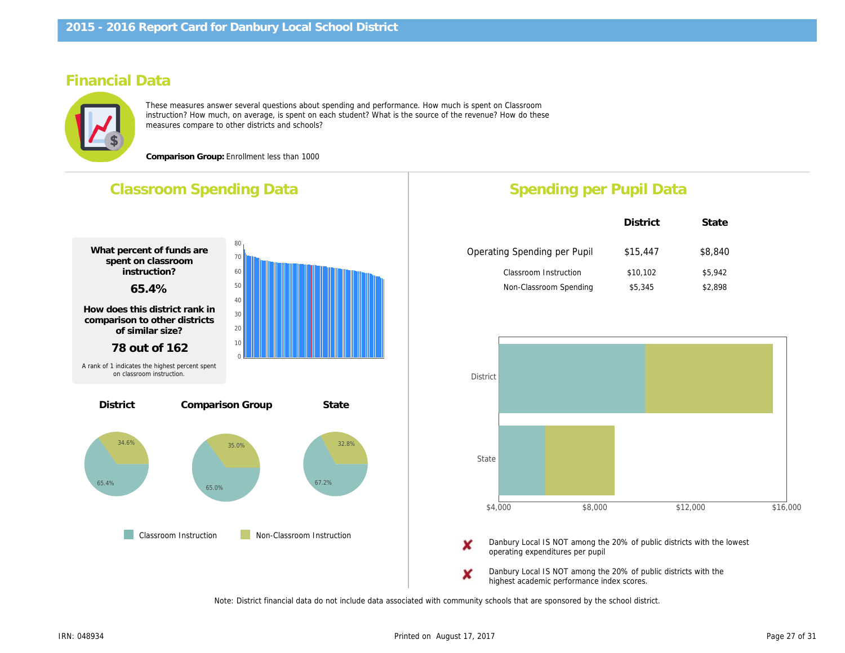## Financial Data

These measures answer several questions about spending and performance. How much is spent on Classroom instruction? How much, on average, is spent on each student? What is the source of the revenue? How do these measures compare to other districts and schools?

Comparison Group: Enrollment less than 1000

## Classroom Spending Data What percent of funds are spent on classroom instruction? 65.4% How does this district rank in comparison to other districts of similar size? 78 out of 162 Comparison Group **State Classroom Instruction** Non-Classroom Instruction **District** A rank of 1 indicates the highest percent spent on classroom instruction. Spending per Pupil Da District Operating Spending per Pupil \$15,44 Classroom Instruction \$10,10 Non-Classroom Spending \$5,345 Danbury Local IS NOT among the 20% of public Danbury operating expenditures per pupil

Danbury Local IS NOT among the 20% of public Danbury highest academic performance index scores.

Note: District financial data do not include data associated with community schools that are sponsored by the school district.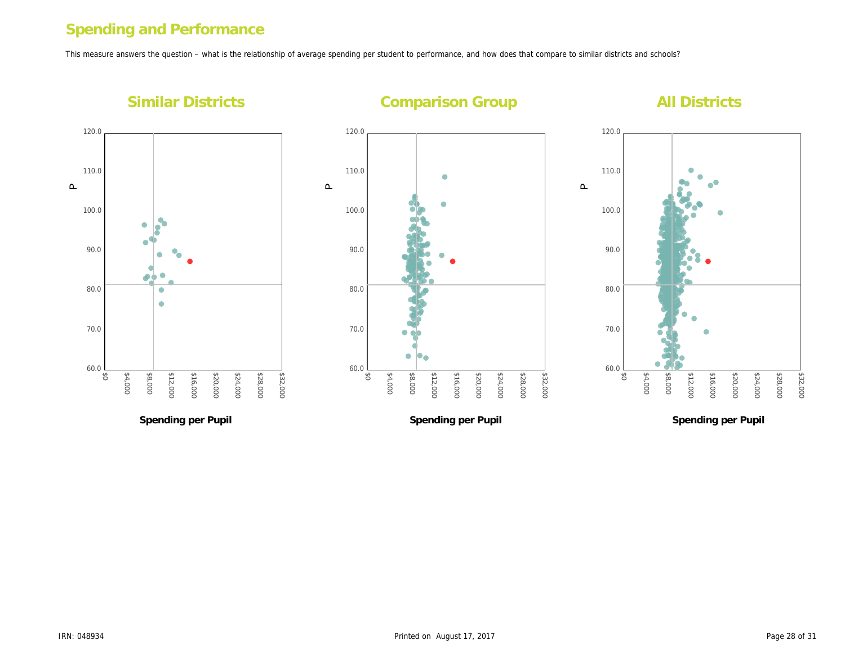## Spending and Performance

This measure answers the question – what is the relationship of average spending per student to performance, and how does that compare to similar districts and s

Similar Districts

Comparison Group

 $\mathtt{\mathtt{a}}$ 

 $\mathbf{\underline{\Omega}}$ 

 $\mathbf{\underline{\Omega}}$ 

Spending per Pupil

Spending per Pupil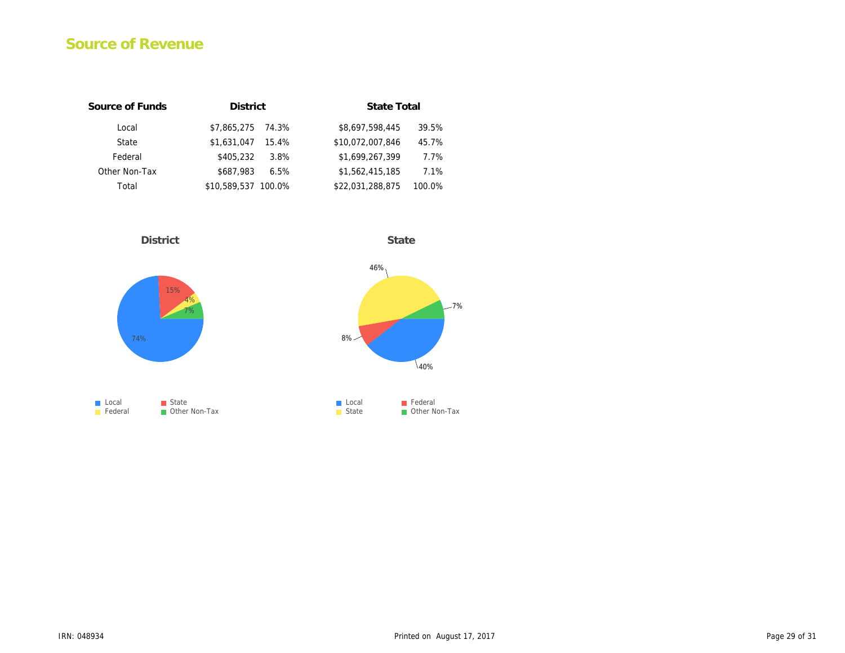## Source of Revenue

| Source of Funds | <b>District</b>      | <b>State Total</b>         |
|-----------------|----------------------|----------------------------|
| Local           | \$7,865,275<br>74.3% | \$8,697,598,445<br>39.5%   |
| State           | \$1,631,047<br>15.4% | \$10,072,007,846<br>45.7%  |
| Federal         | \$405.232<br>3.8%    | \$1,699,267,399<br>7.7%    |
| Other Non-Tax   | \$687.983<br>6.5%    | \$1,562,415,185<br>7.1%    |
| Total           | \$10,589,537 100.0%  | \$22,031,288,875<br>100.0% |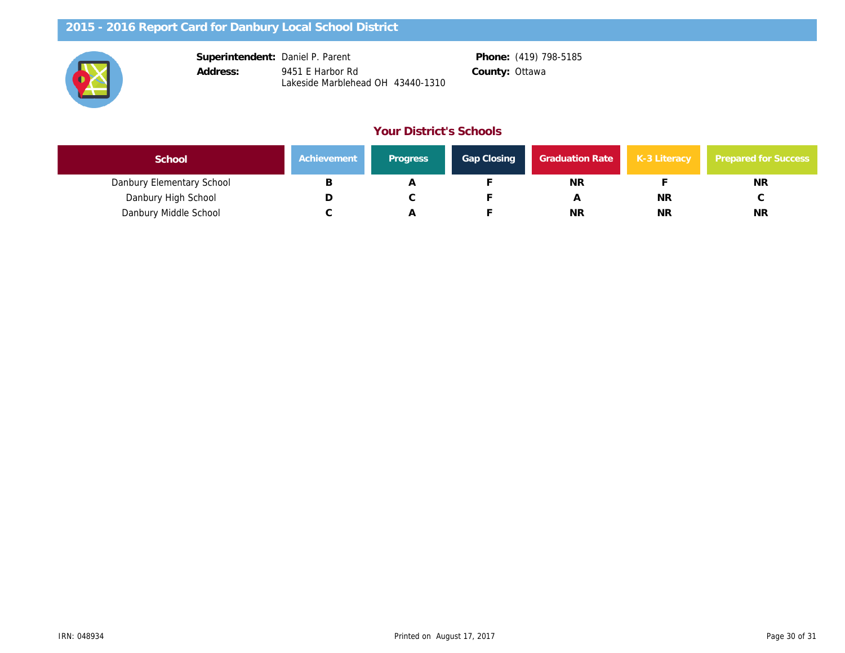| Superintendent: | Daniel P. Parent                                      |                | Phone: (419) 798-5185 |
|-----------------|-------------------------------------------------------|----------------|-----------------------|
| Address:        | 9451 E Harbor Rd<br>Lakeside Marblehead OH 43440-1310 | County: Ottawa |                       |

#### Your District's Schools

| School                    | Achievement | <b>Progress</b> | <b>Gap Closing</b> | <b>Graduation Rate</b> | $K-3$ |
|---------------------------|-------------|-----------------|--------------------|------------------------|-------|
| Danbury Elementary School |             |                 |                    | <b>NR</b>              |       |
| Danbury High School       | ◡           |                 |                    |                        |       |
| Danbury Middle School     |             |                 |                    | <b>NR</b>              |       |